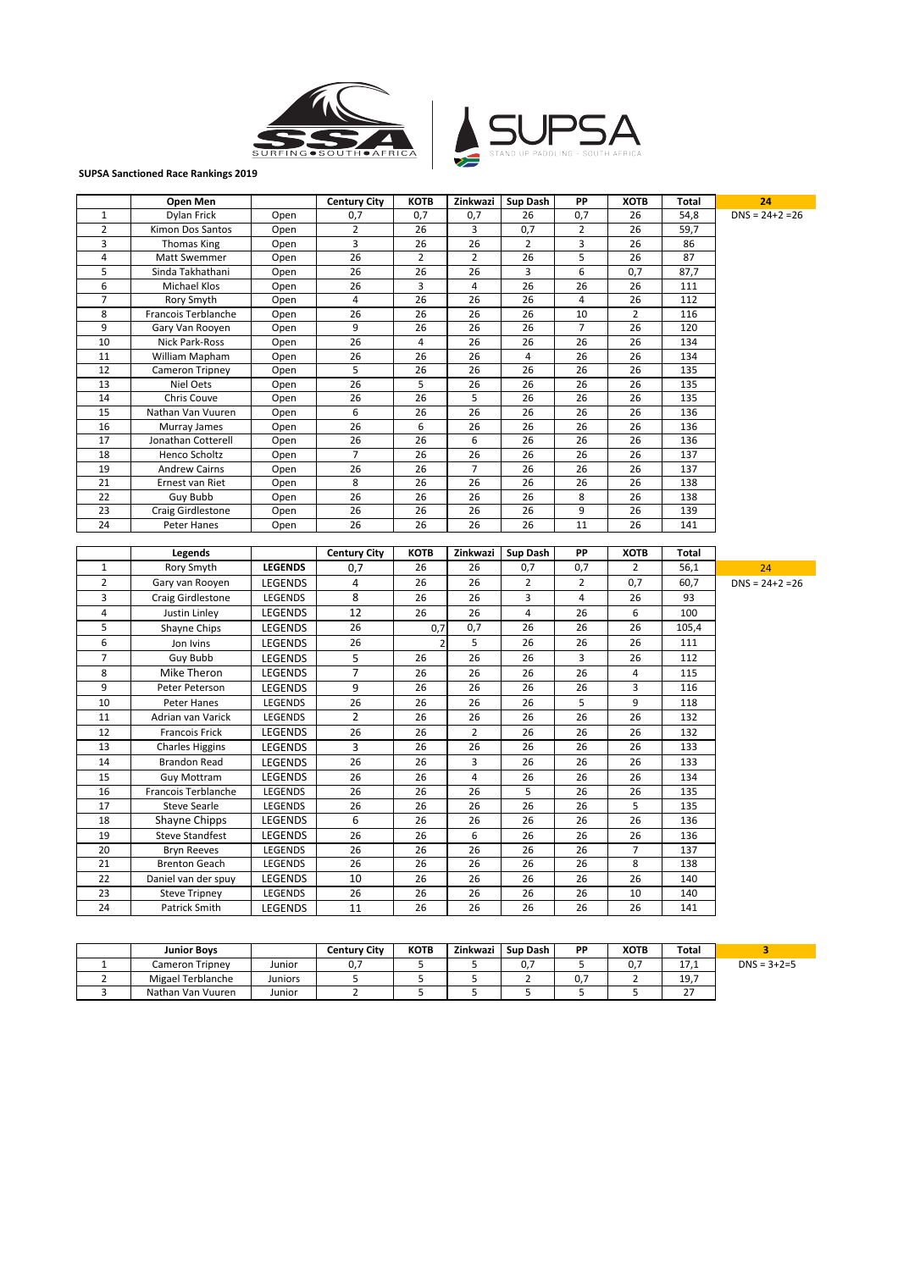



## **SUPSA Sanctioned Race Rankings 2019**

|                 | Open Men                              |                    | <b>Century City</b> | <b>KOTB</b>     | Zinkwazi       | Sup Dash       | ΡP                      | <b>XOTB</b>     | Total        | 24                  |
|-----------------|---------------------------------------|--------------------|---------------------|-----------------|----------------|----------------|-------------------------|-----------------|--------------|---------------------|
| $\mathbf{1}$    | Dylan Frick                           | Open               | 0,7                 | 0,7             | 0,7            | 26             | 0,7                     | 26              | 54,8         | $DNS = 24 + 2 = 26$ |
| $\overline{2}$  | Kimon Dos Santos                      | Open               | 2                   | 26              | 3              | 0,7            | 2                       | 26              | 59,7         |                     |
| 3               | <b>Thomas King</b>                    | Open               | 3                   | 26              | 26             | $\overline{2}$ | 3                       | 26              | 86           |                     |
| 4               | Matt Swemmer                          | Open               | $\overline{26}$     | 2               | $\overline{2}$ | 26             | $\overline{5}$          | 26              | 87           |                     |
| 5               | Sinda Takhathani                      | Open               | 26                  | 26              | 26             | 3              | 6                       | 0,7             | 87,7         |                     |
| 6               | Michael Klos                          | Open               | 26                  | 3               | 4              | 26             | 26                      | 26              | 111          |                     |
| $\overline{7}$  | Rory Smyth                            | Open               | 4                   | $\overline{26}$ | 26             | 26             | $\overline{\mathbf{4}}$ | 26              | 112          |                     |
| 8               | Francois Terblanche                   | Open               | 26                  | 26              | 26             | 26             | 10                      | $\overline{2}$  | 116          |                     |
| 9               | Gary Van Rooyen                       | Open               | 9                   | 26              | 26             | 26             | $\overline{7}$          | 26              | 120          |                     |
| 10              | Nick Park-Ross                        | Open               | 26                  | $\overline{4}$  | 26             | 26             | 26                      | 26              | 134          |                     |
| 11              | William Mapham                        | Open               | 26                  | 26              | 26             | $\overline{4}$ | 26                      | 26              | 134          |                     |
| 12              | Cameron Tripney                       | Open               | 5                   | 26              | 26             | 26             | 26                      | 26              | 135          |                     |
| 13              | Niel Oets                             | Open               | 26                  | 5               | 26             | 26             | 26                      | $\overline{26}$ | 135          |                     |
| 14              | Chris Couve                           | Open               | 26                  | 26              | 5              | 26             | 26                      | $\overline{26}$ | 135          |                     |
| 15              | Nathan Van Vuuren                     | Open               | 6                   | 26              | 26             | 26             | 26                      | 26              | 136          |                     |
| 16              | Murray James                          | Open               | 26                  | 6               | 26             | 26             | 26                      | 26              | 136          |                     |
| 17              | Jonathan Cotterell                    | Open               | 26                  | 26              | 6              | 26             | 26                      | 26              | 136          |                     |
| 18              | Henco Scholtz                         | Open               | $\overline{7}$      | 26              | 26             | 26             | 26                      | 26              | 137          |                     |
| 19              | <b>Andrew Cairns</b>                  | Open               | 26                  | 26              | $\overline{7}$ | 26             | 26                      | 26              | 137          |                     |
| 21              | Ernest van Riet                       | Open               | $\overline{8}$      | 26              | 26             | 26             | 26                      | 26              | 138          |                     |
| 22              | Guy Bubb                              | Open               | 26                  | 26              | 26             | 26             | 8                       | 26              | 138          |                     |
| $\overline{23}$ | Craig Girdlestone                     | Open               | 26                  | 26              | 26             | 26             | $\overline{9}$          | 26              | 139          |                     |
| 24              | Peter Hanes                           | Open               | 26                  | 26              | 26             | 26             | 11                      | 26              | 141          |                     |
|                 |                                       |                    |                     |                 |                |                |                         |                 |              |                     |
|                 |                                       |                    |                     |                 |                |                |                         |                 |              |                     |
|                 | Legends                               |                    | <b>Century City</b> | <b>KOTB</b>     | Zinkwazi       | Sup Dash       | PP                      | <b>XOTB</b>     | <b>Total</b> |                     |
| $\mathbf{1}$    | Rory Smyth                            | <b>LEGENDS</b>     | 0,7                 | 26              | 26             | 0,7            | 0,7                     | $\overline{2}$  | 56,1         | 24                  |
| $\overline{2}$  | Gary van Rooyen                       | LEGENDS            | 4                   | 26              | 26             | $\overline{2}$ | $\overline{2}$          | 0,7             | 60,7         | $DNS = 24 + 2 = 26$ |
| 3               | Craig Girdlestone                     | LEGENDS            | 8                   | 26              | 26             | 3              | $\overline{\mathbf{4}}$ | 26              | 93           |                     |
| 4               | Justin Linley                         | LEGENDS            | 12                  | 26              | 26             | $\overline{4}$ | 26                      | 6               | 100          |                     |
| 5               | Shayne Chips                          | LEGENDS            | 26                  | 0,7             | 0,7            | 26             | 26                      | 26              | 105,4        |                     |
| 6               | Jon Ivins                             | LEGENDS            | 26                  | $\overline{2}$  | 5              | 26             | 26                      | 26              | 111          |                     |
| $\overline{7}$  | Guy Bubb                              | LEGENDS            | 5                   | 26              | 26             | 26             | $\overline{3}$          | 26              | 112          |                     |
| 8               | Mike Theron                           | LEGENDS            | 7                   | 26              | 26             | 26             | 26                      | $\pmb{4}$       | 115          |                     |
| 9               | Peter Peterson                        | LEGENDS            | 9                   | 26              | 26             | 26             | 26                      | 3               | 116          |                     |
| 10              | Peter Hanes                           | LEGENDS            | 26                  | 26              | 26             | 26             | 5                       | 9               | 118          |                     |
| 11              | Adrian van Varick                     | LEGENDS            | $\overline{2}$      | 26              | 26             | 26             | 26                      | 26              | 132          |                     |
| 12              | Francois Frick                        | LEGENDS            | 26                  | 26              | $\overline{2}$ | 26             | 26                      | 26              | 132          |                     |
|                 |                                       |                    |                     |                 |                |                |                         |                 |              |                     |
| 13              | <b>Charles Higgins</b>                | LEGENDS            | 3                   | 26              | 26             | 26             | 26                      | 26              | 133          |                     |
| 14              | <b>Brandon Read</b>                   | LEGENDS            | 26                  | 26              | 3              | 26             | 26                      | 26              | 133          |                     |
| 15              | <b>Guy Mottram</b>                    | LEGENDS            | 26                  | 26              | 4              | 26             | 26                      | 26              | 134          |                     |
| 16              | Francois Terblanche                   | LEGENDS            | 26                  | 26              | 26             | $\overline{5}$ | 26                      | 26              | 135          |                     |
| 17              | <b>Steve Searle</b>                   | LEGENDS            | 26                  | 26              | 26             | 26             | 26                      | 5               | 135          |                     |
| 18              | Shayne Chipps                         | LEGENDS            | 6                   | 26              | 26             | 26             | 26                      | 26              | 136          |                     |
| 19              | <b>Steve Standfest</b>                | LEGENDS            | 26                  | 26              | 6              | 26             | 26                      | 26              | 136          |                     |
| 20              | <b>Bryn Reeves</b>                    | LEGENDS            | 26                  | 26              | 26             | 26             | 26                      | $\overline{7}$  | 137          |                     |
| 21              | <b>Brenton Geach</b>                  | LEGENDS            | 26                  | 26              | 26             | 26             | 26                      | 8               | 138          |                     |
| 22              | Daniel van der spuy                   | LEGENDS            | 10                  | 26              | 26             | 26             | 26                      | 26              | 140          |                     |
| 23<br>24        | <b>Steve Tripney</b><br>Patrick Smith | LEGENDS<br>LEGENDS | 26<br>11            | 26<br>26        | 26<br>26       | 26<br>26       | 26<br>26                | 10<br>26        | 140<br>141   |                     |

| <b>Junior Boys</b> |         | Centurv Citv | <b>KOTB</b> | Zinkwazi | Sup Dash            | <b>DD</b> | <b>XOTB</b> | Total     |                   |
|--------------------|---------|--------------|-------------|----------|---------------------|-----------|-------------|-----------|-------------------|
| Cameron Tripnev    | Junior  | υ.,          |             |          | $\sim$ $\sim$<br>U. |           | ∩ ג<br>ບ.,  | 17, T     | $DNS = 3 + 2 = 5$ |
| Migael Terblanche  | Juniors |              |             |          |                     | v.        |             | 19,7      |                   |
| Nathan Van Vuuren  | Junior  |              |             |          |                     |           |             | --<br>، ے |                   |